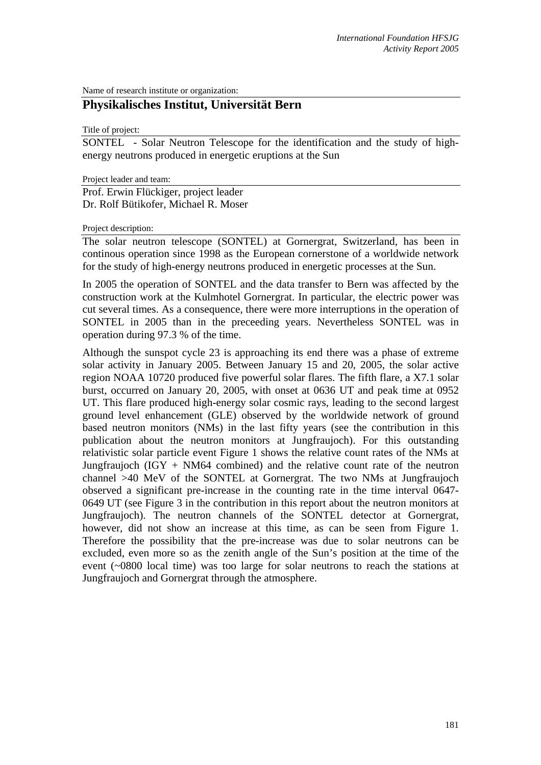Name of research institute or organization:

# **Physikalisches Institut, Universität Bern**

Title of project:

SONTEL - Solar Neutron Telescope for the identification and the study of highenergy neutrons produced in energetic eruptions at the Sun

Project leader and team:

Prof. Erwin Flückiger, project leader Dr. Rolf Bütikofer, Michael R. Moser

#### Project description:

The solar neutron telescope (SONTEL) at Gornergrat, Switzerland, has been in continous operation since 1998 as the European cornerstone of a worldwide network for the study of high-energy neutrons produced in energetic processes at the Sun.

In 2005 the operation of SONTEL and the data transfer to Bern was affected by the construction work at the Kulmhotel Gornergrat. In particular, the electric power was cut several times. As a consequence, there were more interruptions in the operation of SONTEL in 2005 than in the preceeding years. Nevertheless SONTEL was in operation during 97.3 % of the time.

Although the sunspot cycle 23 is approaching its end there was a phase of extreme solar activity in January 2005. Between January 15 and 20, 2005, the solar active region NOAA 10720 produced five powerful solar flares. The fifth flare, a X7.1 solar burst, occurred on January 20, 2005, with onset at 0636 UT and peak time at 0952 UT. This flare produced high-energy solar cosmic rays, leading to the second largest ground level enhancement (GLE) observed by the worldwide network of ground based neutron monitors (NMs) in the last fifty years (see the contribution in this publication about the neutron monitors at Jungfraujoch). For this outstanding relativistic solar particle event Figure 1 shows the relative count rates of the NMs at Jungfraujoch  $(IGY + NM64$  combined) and the relative count rate of the neutron channel >40 MeV of the SONTEL at Gornergrat. The two NMs at Jungfraujoch observed a significant pre-increase in the counting rate in the time interval 0647- 0649 UT (see Figure 3 in the contribution in this report about the neutron monitors at Jungfraujoch). The neutron channels of the SONTEL detector at Gornergrat, however, did not show an increase at this time, as can be seen from Figure 1. Therefore the possibility that the pre-increase was due to solar neutrons can be excluded, even more so as the zenith angle of the Sun's position at the time of the event (~0800 local time) was too large for solar neutrons to reach the stations at Jungfraujoch and Gornergrat through the atmosphere.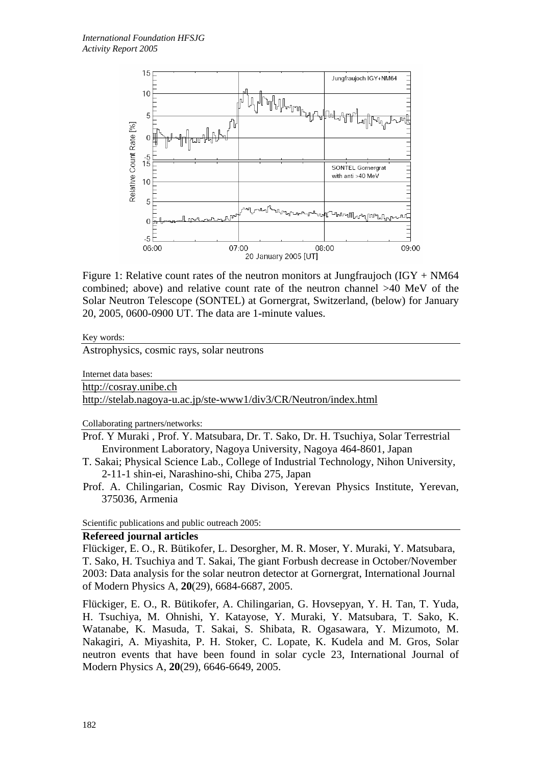

Figure 1: Relative count rates of the neutron monitors at Jungfraujoch (IGY + NM64 combined; above) and relative count rate of the neutron channel >40 MeV of the Solar Neutron Telescope (SONTEL) at Gornergrat, Switzerland, (below) for January 20, 2005, 0600-0900 UT. The data are 1-minute values.

#### Key words:

Astrophysics, cosmic rays, solar neutrons

Internet data bases:

http://cosray.unibe.ch

http://stelab.nagoya-u.ac.jp/ste-www1/div3/CR/Neutron/index.html

Collaborating partners/networks:

Prof. Y Muraki , Prof. Y. Matsubara, Dr. T. Sako, Dr. H. Tsuchiya, Solar Terrestrial Environment Laboratory, Nagoya University, Nagoya 464-8601, Japan

- T. Sakai; Physical Science Lab., College of Industrial Technology, Nihon University, 2-11-1 shin-ei, Narashino-shi, Chiba 275, Japan
- Prof. A. Chilingarian, Cosmic Ray Divison, Yerevan Physics Institute, Yerevan, 375036, Armenia

Scientific publications and public outreach 2005:

# **Refereed journal articles**

Flückiger, E. O., R. Bütikofer, L. Desorgher, M. R. Moser, Y. Muraki, Y. Matsubara, T. Sako, H. Tsuchiya and T. Sakai, The giant Forbush decrease in October/November 2003: Data analysis for the solar neutron detector at Gornergrat, International Journal of Modern Physics A, **20**(29), 6684-6687, 2005.

Flückiger, E. O., R. Bütikofer, A. Chilingarian, G. Hovsepyan, Y. H. Tan, T. Yuda, H. Tsuchiya, M. Ohnishi, Y. Katayose, Y. Muraki, Y. Matsubara, T. Sako, K. Watanabe, K. Masuda, T. Sakai, S. Shibata, R. Ogasawara, Y. Mizumoto, M. Nakagiri, A. Miyashita, P. H. Stoker, C. Lopate, K. Kudela and M. Gros, Solar neutron events that have been found in solar cycle 23, International Journal of Modern Physics A, **20**(29), 6646-6649, 2005.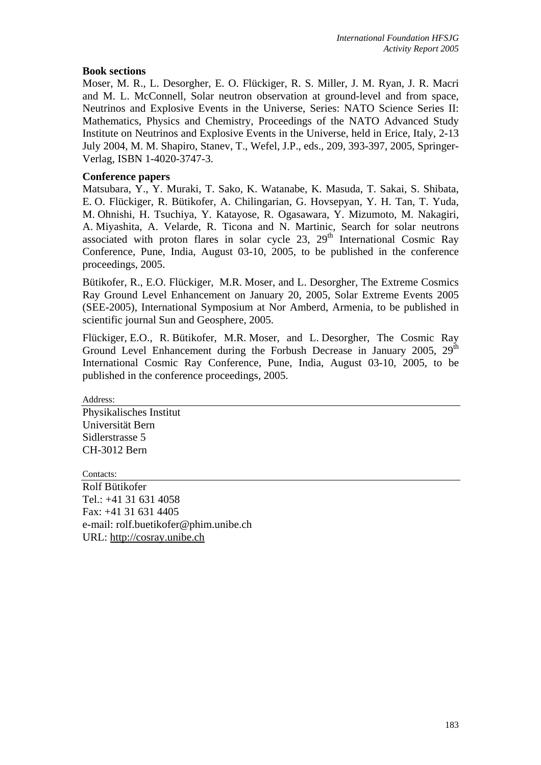## **Book sections**

Moser, M. R., L. Desorgher, E. O. Flückiger, R. S. Miller, J. M. Ryan, J. R. Macri and M. L. McConnell, Solar neutron observation at ground-level and from space, Neutrinos and Explosive Events in the Universe, Series: NATO Science Series II: Mathematics, Physics and Chemistry, Proceedings of the NATO Advanced Study Institute on Neutrinos and Explosive Events in the Universe, held in Erice, Italy, 2-13 July 2004, M. M. Shapiro, Stanev, T., Wefel, J.P., eds., 209, 393-397, 2005, Springer-Verlag, ISBN 1-4020-3747-3.

## **Conference papers**

Matsubara, Y., Y. Muraki, T. Sako, K. Watanabe, K. Masuda, T. Sakai, S. Shibata, E. O. Flückiger, R. Bütikofer, A. Chilingarian, G. Hovsepyan, Y. H. Tan, T. Yuda, M. Ohnishi, H. Tsuchiya, Y. Katayose, R. Ogasawara, Y. Mizumoto, M. Nakagiri, A. Miyashita, A. Velarde, R. Ticona and N. Martinic, Search for solar neutrons associated with proton flares in solar cycle  $23$ ,  $29<sup>th</sup>$  International Cosmic Ray Conference, Pune, India, August 03-10, 2005, to be published in the conference proceedings, 2005.

Bütikofer, R., E.O. Flückiger, M.R. Moser, and L. Desorgher, The Extreme Cosmics Ray Ground Level Enhancement on January 20, 2005, Solar Extreme Events 2005 (SEE-2005), International Symposium at Nor Amberd, Armenia, to be published in scientific journal Sun and Geosphere, 2005.

Flückiger, E.O., R. Bütikofer, M.R. Moser, and L. Desorgher, The Cosmic Ray Ground Level Enhancement during the Forbush Decrease in January 2005, 29<sup>th</sup> International Cosmic Ray Conference, Pune, India, August 03-10, 2005, to be published in the conference proceedings, 2005.

Address:

Physikalisches Institut Universität Bern Sidlerstrasse 5 CH-3012 Bern

Contacts: Rolf Bütikofer Tel.: +41 31 631 4058 Fax: +41 31 631 4405 e-mail: rolf.buetikofer@phim.unibe.ch URL: http://cosray.unibe.ch